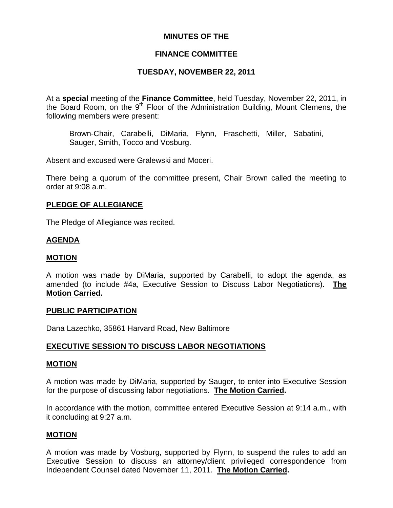## **MINUTES OF THE**

# **FINANCE COMMITTEE**

## **TUESDAY, NOVEMBER 22, 2011**

At a **special** meeting of the **Finance Committee**, held Tuesday, November 22, 2011, in the Board Room, on the 9<sup>th</sup> Floor of the Administration Building, Mount Clemens, the following members were present:

Brown-Chair, Carabelli, DiMaria, Flynn, Fraschetti, Miller, Sabatini, Sauger, Smith, Tocco and Vosburg.

Absent and excused were Gralewski and Moceri.

There being a quorum of the committee present, Chair Brown called the meeting to order at 9:08 a.m.

### **PLEDGE OF ALLEGIANCE**

The Pledge of Allegiance was recited.

### **AGENDA**

### **MOTION**

A motion was made by DiMaria, supported by Carabelli, to adopt the agenda, as amended (to include #4a, Executive Session to Discuss Labor Negotiations). **The Motion Carried.** 

#### **PUBLIC PARTICIPATION**

Dana Lazechko, 35861 Harvard Road, New Baltimore

### **EXECUTIVE SESSION TO DISCUSS LABOR NEGOTIATIONS**

#### **MOTION**

A motion was made by DiMaria, supported by Sauger, to enter into Executive Session for the purpose of discussing labor negotiations. **The Motion Carried.** 

In accordance with the motion, committee entered Executive Session at 9:14 a.m., with it concluding at 9:27 a.m.

### **MOTION**

A motion was made by Vosburg, supported by Flynn, to suspend the rules to add an Executive Session to discuss an attorney/client privileged correspondence from Independent Counsel dated November 11, 2011. **The Motion Carried.**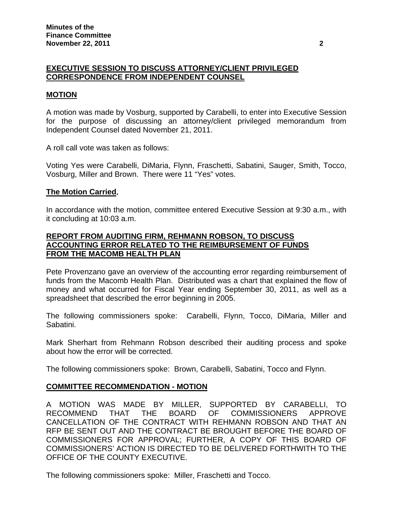# **EXECUTIVE SESSION TO DISCUSS ATTORNEY/CLIENT PRIVILEGED CORRESPONDENCE FROM INDEPENDENT COUNSEL**

### **MOTION**

A motion was made by Vosburg, supported by Carabelli, to enter into Executive Session for the purpose of discussing an attorney/client privileged memorandum from Independent Counsel dated November 21, 2011.

A roll call vote was taken as follows:

Voting Yes were Carabelli, DiMaria, Flynn, Fraschetti, Sabatini, Sauger, Smith, Tocco, Vosburg, Miller and Brown. There were 11 "Yes" votes.

### **The Motion Carried.**

In accordance with the motion, committee entered Executive Session at 9:30 a.m., with it concluding at 10:03 a.m.

## **REPORT FROM AUDITING FIRM, REHMANN ROBSON, TO DISCUSS ACCOUNTING ERROR RELATED TO THE REIMBURSEMENT OF FUNDS FROM THE MACOMB HEALTH PLAN**

Pete Provenzano gave an overview of the accounting error regarding reimbursement of funds from the Macomb Health Plan. Distributed was a chart that explained the flow of money and what occurred for Fiscal Year ending September 30, 2011, as well as a spreadsheet that described the error beginning in 2005.

The following commissioners spoke: Carabelli, Flynn, Tocco, DiMaria, Miller and Sabatini.

Mark Sherhart from Rehmann Robson described their auditing process and spoke about how the error will be corrected.

The following commissioners spoke: Brown, Carabelli, Sabatini, Tocco and Flynn.

### **COMMITTEE RECOMMENDATION - MOTION**

A MOTION WAS MADE BY MILLER, SUPPORTED BY CARABELLI, TO RECOMMEND THAT THE BOARD OF COMMISSIONERS APPROVE CANCELLATION OF THE CONTRACT WITH REHMANN ROBSON AND THAT AN RFP BE SENT OUT AND THE CONTRACT BE BROUGHT BEFORE THE BOARD OF COMMISSIONERS FOR APPROVAL; FURTHER, A COPY OF THIS BOARD OF COMMISSIONERS' ACTION IS DIRECTED TO BE DELIVERED FORTHWITH TO THE OFFICE OF THE COUNTY EXECUTIVE.

The following commissioners spoke: Miller, Fraschetti and Tocco.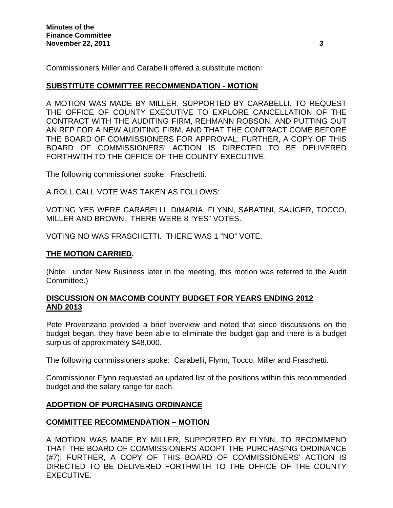Commissioners Miller and Carabelli offered a substitute motion:

### **SUBSTITUTE COMMITTEE RECOMMENDATION - MOTION**

A MOTION WAS MADE BY MILLER, SUPPORTED BY CARABELLI, TO REQUEST THE OFFICE OF COUNTY EXECUTIVE TO EXPLORE CANCELLATION OF THE CONTRACT WITH THE AUDITING FIRM, REHMANN ROBSON, AND PUTTING OUT AN RFP FOR A NEW AUDITING FIRM, AND THAT THE CONTRACT COME BEFORE THE BOARD OF COMMISSIONERS FOR APPROVAL; FURTHER, A COPY OF THIS BOARD OF COMMISSIONERS' ACTION IS DIRECTED TO BE DELIVERED FORTHWITH TO THE OFFICE OF THE COUNTY EXECUTIVE.

The following commissioner spoke: Fraschetti.

A ROLL CALL VOTE WAS TAKEN AS FOLLOWS:

VOTING YES WERE CARABELLI, DiMARIA, FLYNN, SABATINI, SAUGER, TOCCO, MILLER AND BROWN. THERE WERE 8 "YES" VOTES.

VOTING NO WAS FRASCHETTI. THERE WAS 1 "NO" VOTE.

### **THE MOTION CARRIED.**

(Note: under New Business later in the meeting, this motion was referred to the Audit Committee.)

### **DISCUSSION ON MACOMB COUNTY BUDGET FOR YEARS ENDING 2012 AND 2013**

Pete Provenzano provided a brief overview and noted that since discussions on the budget began, they have been able to eliminate the budget gap and there is a budget surplus of approximately \$48,000.

The following commissioners spoke: Carabelli, Flynn, Tocco, Miller and Fraschetti.

Commissioner Flynn requested an updated list of the positions within this recommended budget and the salary range for each.

### **ADOPTION OF PURCHASING ORDINANCE**

# **COMMITTEE RECOMMENDATION – MOTION**

A MOTION WAS MADE BY MILLER, SUPPORTED BY FLYNN, TO RECOMMEND THAT THE BOARD OF COMMISSIONERS ADOPT THE PURCHASING ORDINANCE (#7); FURTHER, A COPY OF THIS BOARD OF COMMISSIONERS' ACTION IS DIRECTED TO BE DELIVERED FORTHWITH TO THE OFFICE OF THE COUNTY EXECUTIVE.